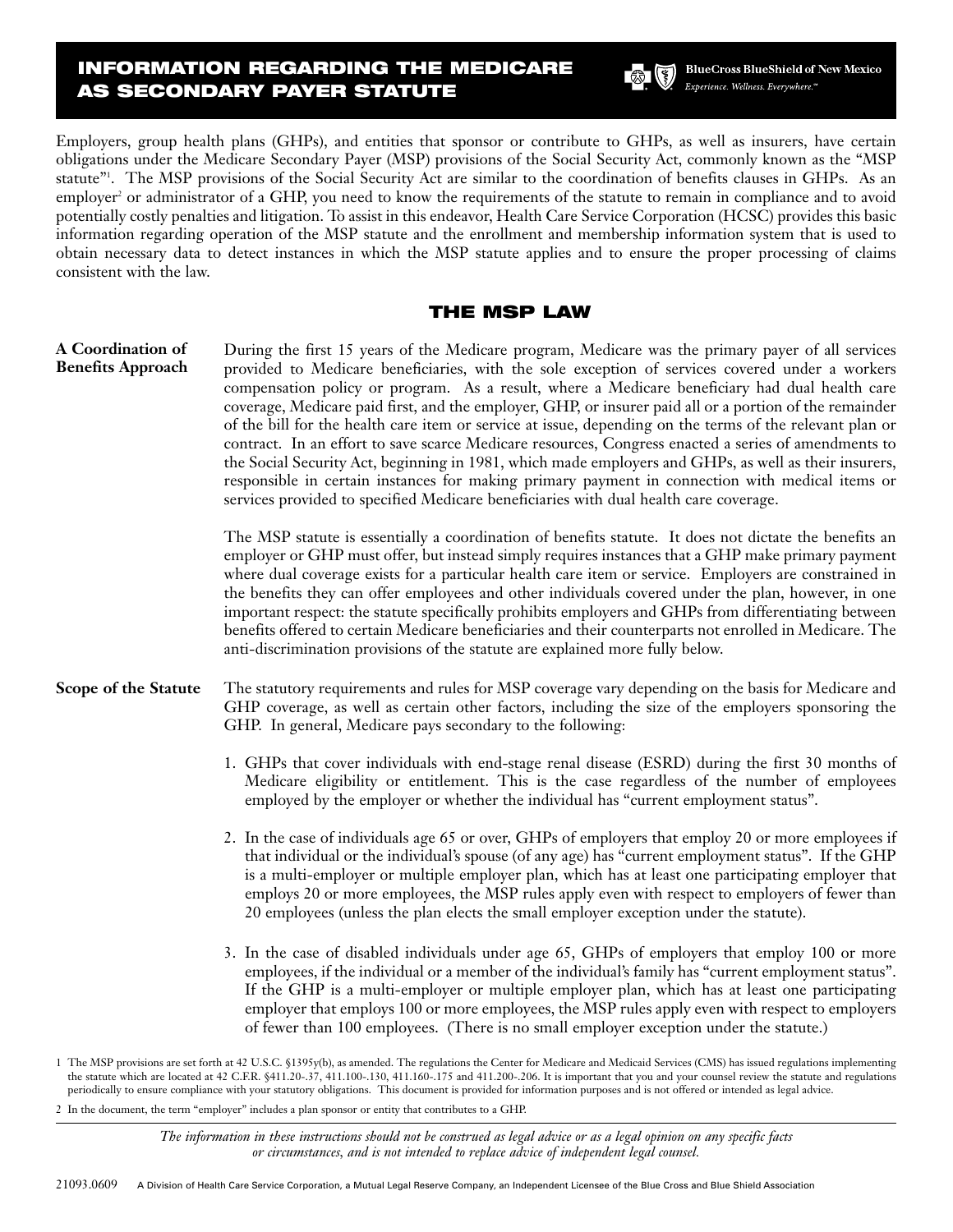# **INFORMATION REGARDING THE MEDICARE AS SECONDARY PAYER STATUTE**



Employers, group health plans (GHPs), and entities that sponsor or contribute to GHPs, as well as insurers, have certain obligations under the Medicare Secondary Payer (MSP) provisions of the Social Security Act, commonly known as the "MSP statute"1 . The MSP provisions of the Social Security Act are similar to the coordination of benefits clauses in GHPs. As an employer<sup>2</sup> or administrator of a GHP, you need to know the requirements of the statute to remain in compliance and to avoid potentially costly penalties and litigation. To assist in this endeavor, Health Care Service Corporation (HCSC) provides this basic information regarding operation of the MSP statute and the enrollment and membership information system that is used to obtain necessary data to detect instances in which the MSP statute applies and to ensure the proper processing of claims consistent with the law.

## **THE MSP LAW**

| A Coordination of<br><b>Benefits Approach</b> | During the first 15 years of the Medicare program, Medicare was the primary payer of all services<br>provided to Medicare beneficiaries, with the sole exception of services covered under a workers<br>compensation policy or program. As a result, where a Medicare beneficiary had dual health care<br>coverage, Medicare paid first, and the employer, GHP, or insurer paid all or a portion of the remainder<br>of the bill for the health care item or service at issue, depending on the terms of the relevant plan or<br>contract. In an effort to save scarce Medicare resources, Congress enacted a series of amendments to<br>the Social Security Act, beginning in 1981, which made employers and GHPs, as well as their insurers,<br>responsible in certain instances for making primary payment in connection with medical items or<br>services provided to specified Medicare beneficiaries with dual health care coverage. |
|-----------------------------------------------|--------------------------------------------------------------------------------------------------------------------------------------------------------------------------------------------------------------------------------------------------------------------------------------------------------------------------------------------------------------------------------------------------------------------------------------------------------------------------------------------------------------------------------------------------------------------------------------------------------------------------------------------------------------------------------------------------------------------------------------------------------------------------------------------------------------------------------------------------------------------------------------------------------------------------------------------|
|                                               | The MSP statute is essentially a coordination of benefits statute. It does not dictate the benefits an<br>employer or GHP must offer, but instead simply requires instances that a GHP make primary payment<br>where dual coverage exists for a particular health care item or service. Employers are constrained in<br>the benefits they can offer employees and other individuals covered under the plan, however, in one<br>important respect: the statute specifically prohibits employers and GHPs from differentiating between<br>benefits offered to certain Medicare beneficiaries and their counterparts not enrolled in Medicare. The<br>anti-discrimination provisions of the statute are explained more fully below.                                                                                                                                                                                                           |
| Scope of the Statute                          | The statutory requirements and rules for MSP coverage vary depending on the basis for Medicare and<br>GHP coverage, as well as certain other factors, including the size of the employers sponsoring the<br>GHP. In general, Medicare pays secondary to the following:                                                                                                                                                                                                                                                                                                                                                                                                                                                                                                                                                                                                                                                                     |
|                                               | 1. GHPs that cover individuals with end-stage renal disease (ESRD) during the first 30 months of<br>Medicare eligibility or entitlement. This is the case regardless of the number of employees<br>employed by the employer or whether the individual has "current employment status".                                                                                                                                                                                                                                                                                                                                                                                                                                                                                                                                                                                                                                                     |
|                                               | 2. In the case of individuals age 65 or over, GHPs of employers that employ 20 or more employees if<br>that individual or the individual's spouse (of any age) has "current employment status". If the GHP<br>is a multi-employer or multiple employer plan, which has at least one participating employer that<br>employs 20 or more employees, the MSP rules apply even with respect to employers of fewer than<br>20 employees (unless the plan elects the small employer exception under the statute).                                                                                                                                                                                                                                                                                                                                                                                                                                 |
|                                               | 3. In the case of disabled individuals under age 65, GHPs of employers that employ 100 or more<br>employees, if the individual or a member of the individual's family has "current employment status".<br>If the GHP is a multi-employer or multiple employer plan, which has at least one participating<br>employer that employs 100 or more employees, the MSP rules apply even with respect to employers<br>of fewer than 100 employees. (There is no small employer exception under the statute.)                                                                                                                                                                                                                                                                                                                                                                                                                                      |

The information in these instructions should not be construed as legal advice or as a legal opinion on any specific facts *or circumstances, and is not intended to replace advice of independent legal counsel.*

<sup>1</sup> The MSP provisions are set forth at 42 U.S.C. §1395y(b), as amended. The regulations the Center for Medicare and Medicaid Services (CMS) has issued regulations implementing the statute which are located at 42 C.F.R. §411.20-.37, 411.100-.130, 411.160-.175 and 411.200-.206. It is important that you and your counsel review the statute and regulations periodically to ensure compliance with your statutory obligations. This document is provided for information purposes and is not offered or intended as legal advice.

<sup>2</sup> In the document, the term "employer" includes a plan sponsor or entity that contributes to a GHP.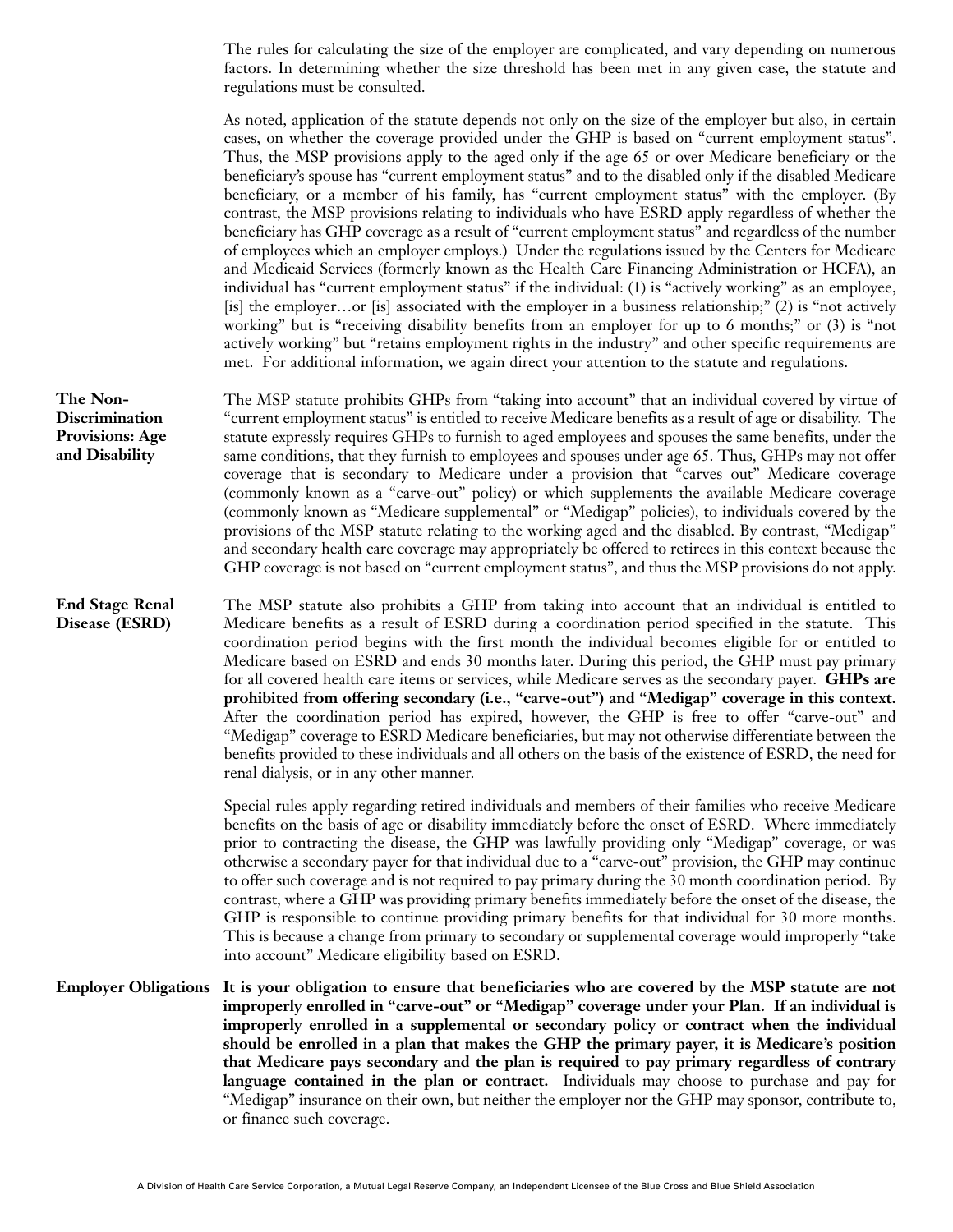The rules for calculating the size of the employer are complicated, and vary depending on numerous factors. In determining whether the size threshold has been met in any given case, the statute and regulations must be consulted.

As noted, application of the statute depends not only on the size of the employer but also, in certain cases, on whether the coverage provided under the GHP is based on "current employment status". Thus, the MSP provisions apply to the aged only if the age 65 or over Medicare beneficiary or the beneficiary's spouse has "current employment status" and to the disabled only if the disabled Medicare beneficiary, or a member of his family, has "current employment status" with the employer. (By contrast, the MSP provisions relating to individuals who have ESRD apply regardless of whether the beneficiary has GHP coverage as a result of "current employment status" and regardless of the number of employees which an employer employs.) Under the regulations issued by the Centers for Medicare and Medicaid Services (formerly known as the Health Care Financing Administration or HCFA), an individual has "current employment status" if the individual: (1) is "actively working" as an employee, [is] the employer…or [is] associated with the employer in a business relationship;" (2) is "not actively working" but is "receiving disability benefits from an employer for up to 6 months;" or (3) is "not actively working" but "retains employment rights in the industry" and other specific requirements are met. For additional information, we again direct your attention to the statute and regulations.

The MSP statute prohibits GHPs from "taking into account" that an individual covered by virtue of "current employment status" is entitled to receive Medicare benefits as a result of age or disability. The statute expressly requires GHPs to furnish to aged employees and spouses the same benefits, under the same conditions, that they furnish to employees and spouses under age 65. Thus, GHPs may not offer coverage that is secondary to Medicare under a provision that "carves out" Medicare coverage (commonly known as a "carve-out" policy) or which supplements the available Medicare coverage (commonly known as "Medicare supplemental" or "Medigap" policies), to individuals covered by the provisions of the MSP statute relating to the working aged and the disabled. By contrast, "Medigap" and secondary health care coverage may appropriately be offered to retirees in this context because the GHP coverage is not based on "current employment status", and thus the MSP provisions do not apply.

The MSP statute also prohibits a GHP from taking into account that an individual is entitled to Medicare benefits as a result of ESRD during a coordination period specified in the statute. This coordination period begins with the first month the individual becomes eligible for or entitled to Medicare based on ESRD and ends 30 months later. During this period, the GHP must pay primary for all covered health care items or services, while Medicare serves as the secondary payer. **GHPs are prohibited from offering secondary (i.e., "carve-out") and "Medigap" coverage in this context.** After the coordination period has expired, however, the GHP is free to offer "carve-out" and "Medigap" coverage to ESRD Medicare beneficiaries, but may not otherwise differentiate between the benefits provided to these individuals and all others on the basis of the existence of ESRD, the need for renal dialysis, or in any other manner.

Special rules apply regarding retired individuals and members of their families who receive Medicare benefits on the basis of age or disability immediately before the onset of ESRD. Where immediately prior to contracting the disease, the GHP was lawfully providing only "Medigap" coverage, or was otherwise a secondary payer for that individual due to a "carve-out" provision, the GHP may continue to offer such coverage and is not required to pay primary during the 30 month coordination period. By contrast, where a GHP was providing primary benefits immediately before the onset of the disease, the GHP is responsible to continue providing primary benefits for that individual for 30 more months. This is because a change from primary to secondary or supplemental coverage would improperly "take into account" Medicare eligibility based on ESRD.

Employer Obligations It is your obligation to ensure that beneficiaries who are covered by the MSP statute are not **improperly enrolled in "carve-out" or "Medigap" coverage under your Plan. If an individual is improperly enrolled in a supplemental or secondary policy or contract when the individual should be enrolled in a plan that makes the GHP the primary payer, it is Medicare's position that Medicare pays secondary and the plan is required to pay primary regardless of contrary language contained in the plan or contract.** Individuals may choose to purchase and pay for "Medigap" insurance on their own, but neither the employer nor the GHP may sponsor, contribute to, or finance such coverage.

**The Non-Discrimination Provisions: Age and Disability**

**End Stage Renal Disease (ESRD)**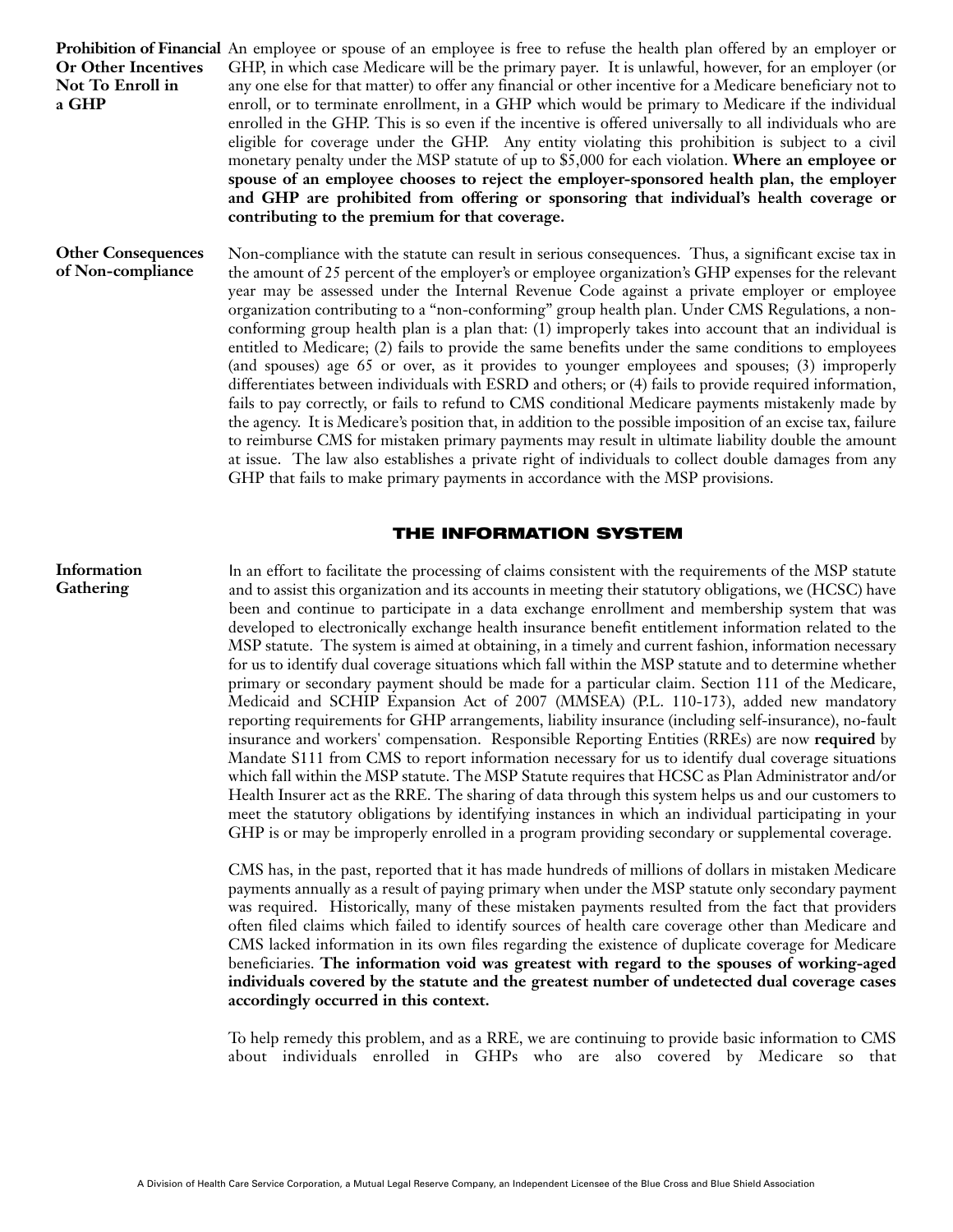**Prohibition of Financial** An employee or spouse of an employee is free to refuse the health plan offered by an employer or GHP, in which case Medicare will be the primary payer. It is unlawful, however, for an employer (or any one else for that matter) to offer any financial or other incentive for a Medicare beneficiary not to enroll, or to terminate enrollment, in a GHP which would be primary to Medicare if the individual enrolled in the GHP. This is so even if the incentive is offered universally to all individuals who are eligible for coverage under the GHP. Any entity violating this prohibition is subject to a civil monetary penalty under the MSP statute of up to \$5,000 for each violation. **Where an employee or spouse of an employee chooses to reject the employer-sponsored health plan, the employer and GHP are prohibited from offering or sponsoring that individual's health coverage or contributing to the premium for that coverage.** Non-compliance with the statute can result in serious consequences. Thus, a significant excise tax in the amount of 25 percent of the employer's or employee organization's GHP expenses for the relevant year may be assessed under the Internal Revenue Code against a private employer or employee organization contributing to a "non-conforming" group health plan. Under CMS Regulations, a nonconforming group health plan is a plan that: (1) improperly takes into account that an individual is entitled to Medicare; (2) fails to provide the same benefits under the same conditions to employees (and spouses) age 65 or over, as it provides to younger employees and spouses; (3) improperly differentiates between individuals with ESRD and others; or (4) fails to provide required information, fails to pay correctly, or fails to refund to CMS conditional Medicare payments mistakenly made by **Or Other Incentives Not To Enroll in a GHP Other Consequences of Non-compliance**

the agency. It is Medicare's position that, in addition to the possible imposition of an excise tax, failure to reimburse CMS for mistaken primary payments may result in ultimate liability double the amount at issue. The law also establishes a private right of individuals to collect double damages from any GHP that fails to make primary payments in accordance with the MSP provisions.

### **THE INFORMATION SYSTEM**

#### **Information Gathering**

In an effort to facilitate the processing of claims consistent with the requirements of the MSP statute and to assist this organization and its accounts in meeting their statutory obligations, we (HCSC) have been and continue to participate in a data exchange enrollment and membership system that was developed to electronically exchange health insurance benefit entitlement information related to the MSP statute. The system is aimed at obtaining, in a timely and current fashion, information necessary for us to identify dual coverage situations which fall within the MSP statute and to determine whether primary or secondary payment should be made for a particular claim. Section 111 of the Medicare, Medicaid and SCHIP Expansion Act of 2007 (MMSEA) (P.L. 110-173), added new mandatory reporting requirements for GHP arrangements, liability insurance (including self-insurance), no-fault insurance and workers' compensation. Responsible Reporting Entities (RREs) are now **required** by Mandate S111 from CMS to report information necessary for us to identify dual coverage situations which fall within the MSP statute. The MSP Statute requires that HCSC as Plan Administrator and/or Health Insurer act as the RRE. The sharing of data through this system helps us and our customers to meet the statutory obligations by identifying instances in which an individual participating in your GHP is or may be improperly enrolled in a program providing secondary or supplemental coverage.

CMS has, in the past, reported that it has made hundreds of millions of dollars in mistaken Medicare payments annually as a result of paying primary when under the MSP statute only secondary payment was required. Historically, many of these mistaken payments resulted from the fact that providers often filed claims which failed to identify sources of health care coverage other than Medicare and CMS lacked information in its own files regarding the existence of duplicate coverage for Medicare beneficiaries. **The information void was greatest with regard to the spouses of working-aged individuals covered by the statute and the greatest number of undetected dual coverage cases accordingly occurred in this context.**

To help remedy this problem, and as a RRE, we are continuing to provide basic information to CMS about individuals enrolled in GHPs who are also covered by Medicare so that